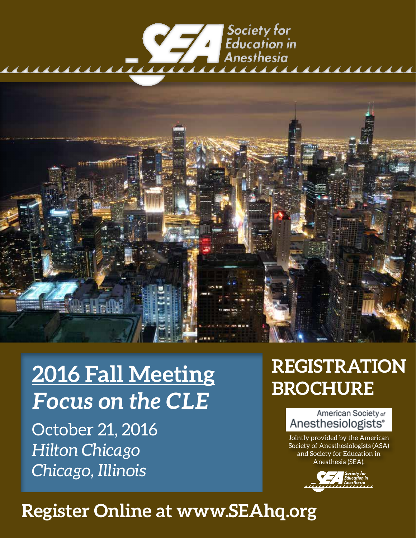# | Society for<br>| Education in<br>| Anesthesia



# **2016 Fall Meeting** *Focus on the CLE*

October 21, 2016 *Hilton Chicago Chicago, Illinois*

# **REGISTRATION BROCHURE**

American Society of Anesthesiologists<sup>®</sup>

Jointly provided by the American Society of Anesthesiologists (ASA) and Society for Education in Anesthesia (SEA).



# **Register Online at www.SEAhq.org**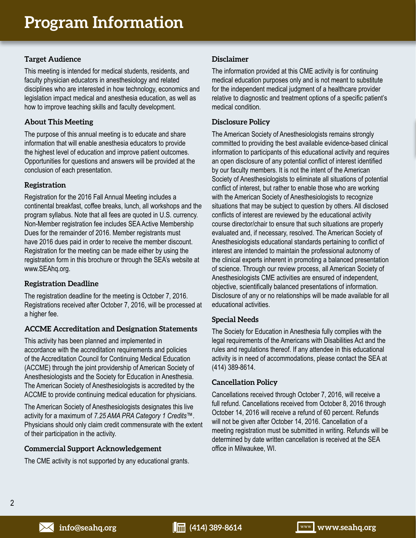## **Target Audience**

This meeting is intended for medical students, residents, and faculty physician educators in anesthesiology and related disciplines who are interested in how technology, economics and legislation impact medical and anesthesia education, as well as how to improve teaching skills and faculty development.

# **About This Meeting**

The purpose of this annual meeting is to educate and share information that will enable anesthesia educators to provide the highest level of education and improve patient outcomes. Opportunities for questions and answers will be provided at the conclusion of each presentation.

## **Registration**

Registration for the 2016 Fall Annual Meeting includes a continental breakfast, coffee breaks, lunch, all workshops and the program syllabus. Note that all fees are quoted in U.S. currency. Non-Member registration fee includes SEA Active Membership Dues for the remainder of 2016. Member registrants must have 2016 dues paid in order to receive the member discount. Registration for the meeting can be made either by using the registration form in this brochure or through the SEA's website at www.SEAhq.org.

## **Registration Deadline**

The registration deadline for the meeting is October 7, 2016. Registrations received after October 7, 2016, will be processed at a higher fee.

# **ACCME Accreditation and Designation Statements**

This activity has been planned and implemented in accordance with the accreditation requirements and policies of the Accreditation Council for Continuing Medical Education (ACCME) through the joint providership of American Society of Anesthesiologists and the Society for Education in Anesthesia. The American Society of Anesthesiologists is accredited by the ACCME to provide continuing medical education for physicians.

The American Society of Anesthesiologists designates this live activity for a maximum of *7.25 AMA PRA Category 1 Credits*™. Physicians should only claim credit commensurate with the extent of their participation in the activity.

## **Commercial Support Acknowledgement**

The CME activity is not supported by any educational grants.

## **Disclaimer**

The information provided at this CME activity is for continuing medical education purposes only and is not meant to substitute for the independent medical judgment of a healthcare provider relative to diagnostic and treatment options of a specific patient's medical condition.

## **Disclosure Policy**

The American Society of Anesthesiologists remains strongly committed to providing the best available evidence-based clinical information to participants of this educational activity and requires an open disclosure of any potential conflict of interest identified by our faculty members. It is not the intent of the American Society of Anesthesiologists to eliminate all situations of potential conflict of interest, but rather to enable those who are working with the American Society of Anesthesiologists to recognize situations that may be subject to question by others. All disclosed conflicts of interest are reviewed by the educational activity course director/chair to ensure that such situations are properly evaluated and, if necessary, resolved. The American Society of Anesthesiologists educational standards pertaining to conflict of interest are intended to maintain the professional autonomy of the clinical experts inherent in promoting a balanced presentation of science. Through our review process, all American Society of Anesthesiologists CME activities are ensured of independent, objective, scientifically balanced presentations of information. Disclosure of any or no relationships will be made available for all educational activities.

## **Special Needs**

The Society for Education in Anesthesia fully complies with the legal requirements of the Americans with Disabilities Act and the rules and regulations thereof. If any attendee in this educational activity is in need of accommodations, please contact the SEA at (414) 389-8614.

#### **Cancellation Policy**

Cancellations received through October 7, 2016, will receive a full refund. Cancellations received from October 8, 2016 through October 14, 2016 will receive a refund of 60 percent. Refunds will not be given after October 14, 2016. Cancellation of a meeting registration must be submitted in writing. Refunds will be determined by date written cancellation is received at the SEA office in Milwaukee, WI.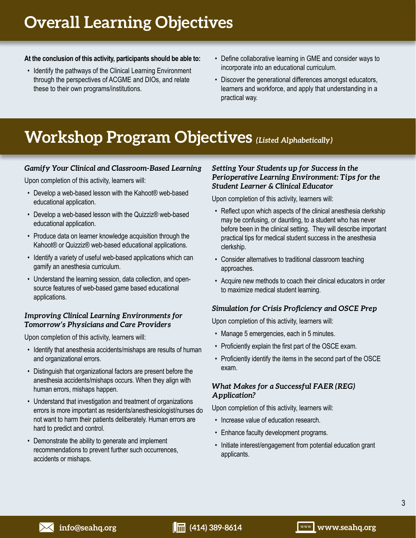# **Overall Learning Objectives**

## **At the conclusion of this activity, participants should be able to:**

- Identify the pathways of the Clinical Learning Environment through the perspectives of ACGME and DIOs, and relate these to their own programs/institutions.
- Define collaborative learning in GME and consider ways to incorporate into an educational curriculum.
- Discover the generational differences amongst educators, learners and workforce, and apply that understanding in a practical way.

# **Workshop Program Objectives** *(Listed Alphabetically)*

# *Gamify Your Clinical and Classroom-Based Learning*

Upon completion of this activity, learners will:

- Develop a web-based lesson with the Kahoot® web-based educational application.
- Develop a web-based lesson with the Quizziz® web-based educational application.
- Produce data on learner knowledge acquisition through the Kahoot® or Quizziz® web-based educational applications.
- Identify a variety of useful web-based applications which can gamify an anesthesia curriculum.
- Understand the learning session, data collection, and opensource features of web-based game based educational applications.

# *Improving Clinical Learning Environments for Tomorrow's Physicians and Care Providers*

Upon completion of this activity, learners will:

- Identify that anesthesia accidents/mishaps are results of human and organizational errors.
- Distinguish that organizational factors are present before the anesthesia accidents/mishaps occurs. When they align with human errors, mishaps happen.
- Understand that investigation and treatment of organizations errors is more important as residents/anesthesiologist/nurses do not want to harm their patients deliberately. Human errors are hard to predict and control.
- Demonstrate the ability to generate and implement recommendations to prevent further such occurrences, accidents or mishaps.

## *Setting Your Students up for Success in the Perioperative Learning Environment: Tips for the Student Learner & Clinical Educator*

Upon completion of this activity, learners will:

- Reflect upon which aspects of the clinical anesthesia clerkship may be confusing, or daunting, to a student who has never before been in the clinical setting. They will describe important practical tips for medical student success in the anesthesia clerkship.
- Consider alternatives to traditional classroom teaching approaches.
- Acquire new methods to coach their clinical educators in order to maximize medical student learning.

# *Simulation for Crisis Proficiency and OSCE Prep*

Upon completion of this activity, learners will:

- Manage 5 emergencies, each in 5 minutes.
- Proficiently explain the first part of the OSCE exam.
- Proficiently identify the items in the second part of the OSCE exam.

# *What Makes for a Successful FAER (REG) Application?*

Upon completion of this activity, learners will:

- Increase value of education research.
- Enhance faculty development programs.
- Initiate interest/engagement from potential education grant applicants.

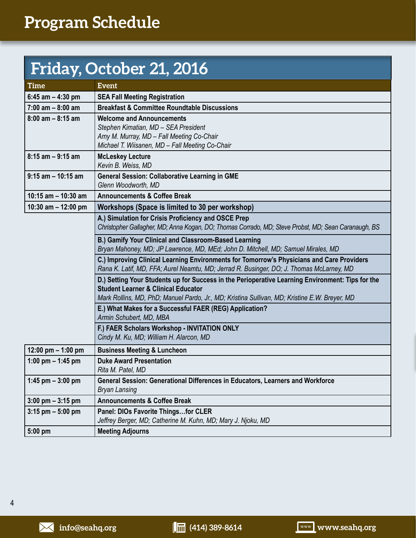# **Friday, October 21, 2016**

| <b>Time</b>           | <b>Event</b>                                                                                                                                                                                                                                        |  |  |
|-----------------------|-----------------------------------------------------------------------------------------------------------------------------------------------------------------------------------------------------------------------------------------------------|--|--|
| 6:45 am $-$ 4:30 pm   | <b>SEA Fall Meeting Registration</b>                                                                                                                                                                                                                |  |  |
| $7:00$ am $-8:00$ am  | <b>Breakfast &amp; Committee Roundtable Discussions</b>                                                                                                                                                                                             |  |  |
| $8:00$ am $-8:15$ am  | <b>Welcome and Announcements</b><br>Stephen Kimatian, MD - SEA President<br>Amy M. Murray, MD - Fall Meeting Co-Chair<br>Michael T. Wiisanen, MD - Fall Meeting Co-Chair                                                                            |  |  |
| $8:15$ am $-9:15$ am  | <b>McLeskey Lecture</b><br>Kevin B. Weiss, MD                                                                                                                                                                                                       |  |  |
| $9:15$ am $-10:15$ am | <b>General Session: Collaborative Learning in GME</b><br>Glenn Woodworth, MD                                                                                                                                                                        |  |  |
| 10:15 am $-$ 10:30 am | <b>Announcements &amp; Coffee Break</b>                                                                                                                                                                                                             |  |  |
| 10:30 am $-$ 12:00 pm | Workshops (Space is limited to 30 per workshop)                                                                                                                                                                                                     |  |  |
|                       | A.) Simulation for Crisis Proficiency and OSCE Prep<br>Christopher Gallagher, MD; Anna Kogan, DO; Thomas Corrado, MD; Steve Probst, MD; Sean Caranaugh, BS                                                                                          |  |  |
|                       | B.) Gamify Your Clinical and Classroom-Based Learning<br>Bryan Mahoney, MD; JP Lawrence, MD, MEd; John D. Mitchell, MD; Samuel Mirales, MD                                                                                                          |  |  |
|                       | C.) Improving Clinical Learning Environments for Tomorrow's Physicians and Care Providers<br>Rana K. Latif, MD, FFA; Aurel Neamtu, MD; Jerrad R. Businger, DO; J. Thomas McLarney, MD                                                               |  |  |
|                       | D.) Setting Your Students up for Success in the Perioperative Learning Environment: Tips for the<br><b>Student Learner &amp; Clinical Educator</b><br>Mark Rollins, MD, PhD; Manuel Pardo, Jr., MD; Kristina Sullivan, MD; Kristine E.W. Breyer, MD |  |  |
|                       | E.) What Makes for a Successful FAER (REG) Application?<br>Armin Schubert, MD, MBA                                                                                                                                                                  |  |  |
|                       | F.) FAER Scholars Workshop - INVITATION ONLY<br>Cindy M. Ku, MD; William H. Alarcon, MD                                                                                                                                                             |  |  |
| 12:00 pm $-$ 1:00 pm  | <b>Business Meeting &amp; Luncheon</b>                                                                                                                                                                                                              |  |  |
| 1:00 pm $-$ 1:45 pm   | <b>Duke Award Presentation</b><br>Rita M. Patel, MD                                                                                                                                                                                                 |  |  |
| 1:45 pm $-3:00$ pm    | General Session: Generational Differences in Educators, Learners and Workforce<br><b>Bryan Lansing</b>                                                                                                                                              |  |  |
| $3:00$ pm $-3:15$ pm  | <b>Announcements &amp; Coffee Break</b>                                                                                                                                                                                                             |  |  |
| $3:15$ pm $-5:00$ pm  | Panel: DIOs Favorite Thingsfor CLER<br>Jeffrey Berger, MD; Catherine M. Kuhn, MD; Mary J. Njoku, MD                                                                                                                                                 |  |  |
| 5:00 pm               | <b>Meeting Adjourns</b>                                                                                                                                                                                                                             |  |  |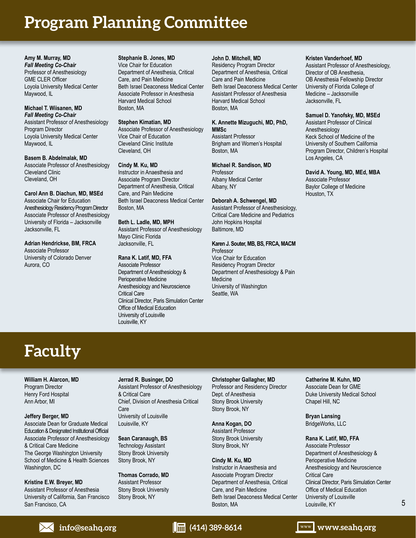# **Program Planning Committee**

**Amy M. Murray, MD** *Fall Meeting Co-Chair* Professor of Anesthesiology GME CLER Officer Loyola University Medical Center Maywood, IL

#### **Michael T. Wiisanen, MD** *Fall Meeting Co-Chair*

Assistant Professor of Anesthesiology Program Director Loyola University Medical Center Maywood, IL

**Basem B. Abdelmalak, MD** Associate Professor of Anesthesiology Cleveland Clinic Cleveland, OH

**Carol Ann B. Diachun, MD, MSEd** Associate Chair for Education Anesthesiology Residency Program Director Associate Professor of Anesthesiology University of Florida – Jacksonville Jacksonville, FL

#### **Adrian Hendrickse, BM, FRCA** Associate Professor University of Colorado Denver Aurora, CO

**Stephanie B. Jones, MD** Vice Chair for Education Department of Anesthesia, Critical Care, and Pain Medicine Beth Israel Deaconess Medical Center Associate Professor in Anesthesia Harvard Medical School Boston, MA

#### **Stephen Kimatian, MD**

Associate Professor of Anesthesiology Vice Chair of Education Cleveland Clinic Institute Cleveland, OH

#### **Cindy M. Ku, MD**

Instructor in Anaesthesia and Associate Program Director Department of Anesthesia, Critical Care, and Pain Medicine Beth Israel Deaconess Medical Center Boston, MA

**Beth L. Ladle, MD, MPH** Assistant Professor of Anesthesiology Mayo Clinic Florida Jacksonville, FL

#### **Rana K. Latif, MD, FFA**

Associate Professor Department of Anesthesiology & Perioperative Medicine Anesthesiology and Neuroscience Critical Care Clinical Director, Paris Simulation Center Office of Medical Education University of Louisville Louisville, KY

#### **John D. Mitchell, MD**

Residency Program Director Department of Anesthesia, Critical Care and Pain Medicine Beth Israel Deaconess Medical Center Assistant Professor of Anesthesia Harvard Medical School Boston, MA

#### **K. Annette Mizuguchi, MD, PhD, MMSc** Assistant Professor

Brigham and Women's Hospital Boston, MA

#### **Michael R. Sandison, MD**

Professor Albany Medical Center Albany, NY

#### **Deborah A. Schwengel, MD**

Assistant Professor of Anesthesiology, Critical Care Medicine and Pediatrics John Hopkins Hospital Baltimore, MD

#### **Karen J. Souter, MB, BS, FRCA, MACM**

Professor Vice Chair for Education Residency Program Director Department of Anesthesiology & Pain Medicine University of Washington Seattle, WA

#### **Kristen Vanderhoef, MD**

Assistant Professor of Anesthesiology, Director of OB Anesthesia, OB Anesthesia Fellowship Director University of Florida College of Medicine – Jacksonville Jacksonville, FL

#### **Samuel D. Yanofsky, MD, MSEd**

Assistant Professor of Clinical Anesthesiology Keck School of Medicine of the University of Southern California Program Director, Children's Hospital Los Angeles, CA

# **David A. Young, MD, MEd, MBA** Associate Professor

Baylor College of Medicine Houston, TX

# **Faculty**

**William H. Alarcon, MD** Program Director Henry Ford Hospital Ann Arbor, MI

#### **Jeffery Berger, MD**

Associate Dean for Graduate Medical Education & Designated Institutional Official Associate Professor of Anesthesiology & Critical Care Medicine The George Washington University School of Medicine & Health Sciences Washington, DC

**Kristine E.W. Breyer, MD** Assistant Professor of Anesthesia University of California, San Francisco San Francisco, CA

**Jerrad R. Businger, DO** Assistant Professor of Anesthesiology & Critical Care Chief, Division of Anesthesia Critical Care University of Louisville Louisville, KY

**Sean Caranaugh, BS** Technology Assistant Stony Brook University Stony Brook, NY

**Thomas Corrado, MD** Assistant Professor Stony Brook University Stony Brook, NY

**Christopher Gallagher, MD** Professor and Residency Director Dept. of Anesthesia Stony Brook University Stony Brook, NY

**Anna Kogan, DO** Assistant Professor Stony Brook University Stony Brook, NY

**Cindy M. Ku, MD** Instructor in Anaesthesia and Associate Program Director Department of Anesthesia, Critical Care, and Pain Medicine Beth Israel Deaconess Medical Center Boston, MA

**Catherine M. Kuhn, MD** Associate Dean for GME Duke University Medical School Chapel Hill, NC

**Bryan Lansing** BridgeWorks, LLC

**Rana K. Latif, MD, FFA**

Associate Professor Department of Anesthesiology & Perioperative Medicine Anesthesiology and Neuroscience Critical Care Clinical Director, Paris Simulation Center Office of Medical Education University of Louisville Louisville, KY

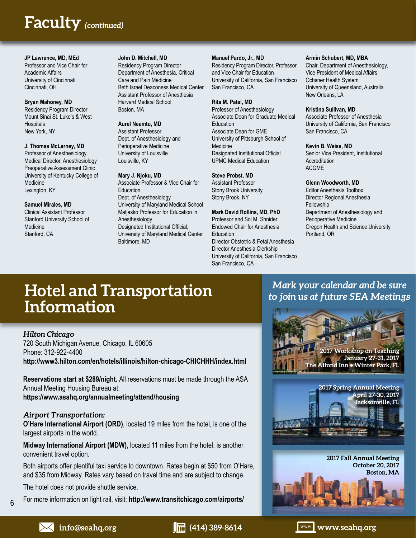# **Text Text Faculty** *(continued)*

#### **JP Lawrence, MD, MEd**

Professor and Vice Chair for Academic Affairs University of Cincinnati Cincinnati, OH

# **Bryan Mahoney, MD** Residency Program Director Mount Sinai St. Luke's & West

**Hospitals** New York, NY

#### **J. Thomas McLarney, MD**

Professor of Anesthesiology Medical Director, Anesthesiology Preoperative Assessment Clinic University of Kentucky College of **Medicine** Lexington, KY

#### **Samuel Mirales, MD**

Clinical Assistant Professor Stanford University School of **Medicine** Stanford, CA

#### **John D. Mitchell, MD**

Residency Program Director Department of Anesthesia, Critical Care and Pain Medicine Beth Israel Deaconess Medical Center Assistant Professor of Anesthesia Harvard Medical School Boston, MA

#### **Aurel Neamtu, MD**

Assistant Professor Dept. of Anesthesiology and Perioperative Medicine University of Louisville Louisville, KY

#### **Mary J. Njoku, MD**

Associate Professor & Vice Chair for Education Dept. of Anesthesiology University of Maryland Medical School Matjasko Professor for Education in Anesthesiology Designated Institutional Official, University of Maryland Medical Center Baltimore, MD

#### **Manuel Pardo, Jr., MD**

Residency Program Director, Professor and Vice Chair for Education University of California, San Francisco San Francisco, CA

#### **Rita M. Patel, MD**

Professor of Anesthesiology Associate Dean for Graduate Medical **Education** Associate Dean for GME University of Pittsburgh School of **Medicine** Designated Institutional Official UPMC Medical Education

#### **Steve Probst, MD**

Assistant Professor Stony Brook University Stony Brook, NY

# **Mark David Rollins, MD, PhD**

Professor and Sol M. Shnider Endowed Chair for Anesthesia Education Director Obstetric & Fetal Anesthesia Director Anesthesia Clerkship University of California, San Francisco San Francisco, CA

#### **Armin Schubert, MD, MBA**

Chair, Department of Anesthesiology, Vice President of Medical Affairs Ochsner Health System University of Queensland, Australia New Orleans, LA

#### **Kristina Sullivan, MD**

Associate Professor of Anesthesia University of California, San Francisco San Francisco, CA

#### **Kevin B. Weiss, MD**

Senior Vice President, Institutional **Accreditation** ACGME

#### **Glenn Woodworth, MD**

Editor Anesthesia Toolbox Director Regional Anesthesia Fellowship Department of Anesthesiology and Perioperative Medicine Oregon Health and Science University Portland, OR

# **Hotel and Transportation Information**

## *Hilton Chicago*

720 South Michigan Avenue, Chicago, IL 60605 Phone: 312-922-4400 **http://www3.hilton.com/en/hotels/illinois/hilton-chicago-CHICHHH/index.html**

**Reservations start at \$289/night.** All reservations must be made through the ASA Annual Meeting Housing Bureau at: **https://www.asahq.org/annualmeeting/attend/housing**

## *Airport Transportation:*

**O'Hare International Airport (ORD)**, located 19 miles from the hotel, is one of the largest airports in the world.

**Midway International Airport (MDW)**, located 11 miles from the hotel, is another convenient travel option.

Both airports offer plentiful taxi service to downtown. Rates begin at \$50 from O'Hare, and \$35 from Midway. Rates vary based on travel time and are subject to change.

The hotel does not provide shuttle service.

For more information on light rail, visit: **http://www.transitchicago.com/airports/**

# **2017 Workshop on Teaching January 27-31, 2017 The Alfond Inn • Winter Park, FL 2017 Spring Annual Meeting April 27-30, 2017 Jacksonville, FL** 网络紫树

*Mark your calendar and be sure to join us at future SEA Meetings*

> **2017 Fall Annual Meeting October 20, 2017 Boston, MA**